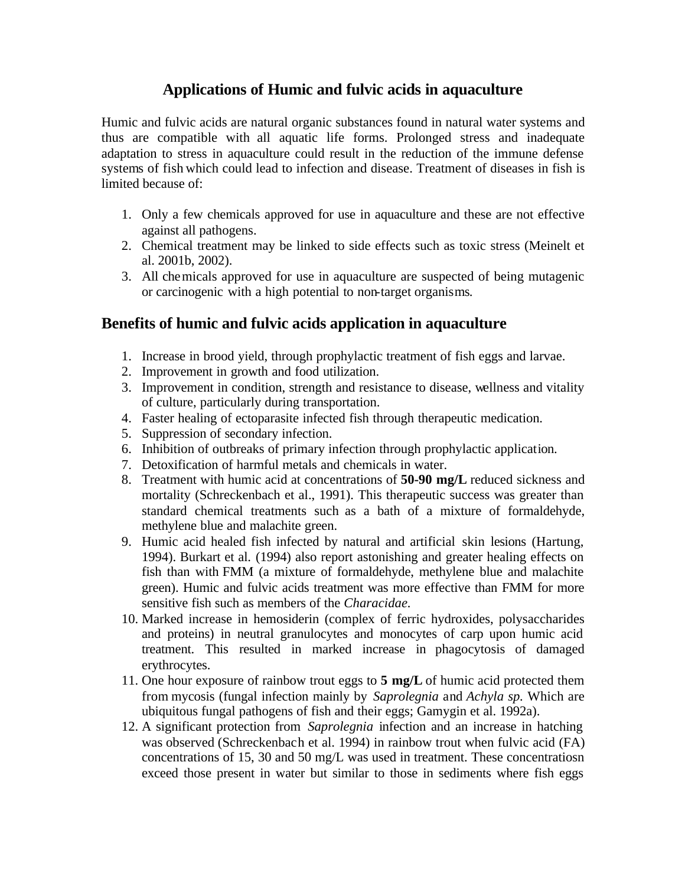## **Applications of Humic and fulvic acids in aquaculture**

Humic and fulvic acids are natural organic substances found in natural water systems and thus are compatible with all aquatic life forms. Prolonged stress and inadequate adaptation to stress in aquaculture could result in the reduction of the immune defense systems of fish which could lead to infection and disease. Treatment of diseases in fish is limited because of:

- 1. Only a few chemicals approved for use in aquaculture and these are not effective against all pathogens.
- 2. Chemical treatment may be linked to side effects such as toxic stress (Meinelt et al. 2001b, 2002).
- 3. All chemicals approved for use in aquaculture are suspected of being mutagenic or carcinogenic with a high potential to non-target organisms.

## **Benefits of humic and fulvic acids application in aquaculture**

- 1. Increase in brood yield, through prophylactic treatment of fish eggs and larvae.
- 2. Improvement in growth and food utilization.
- 3. Improvement in condition, strength and resistance to disease, wellness and vitality of culture, particularly during transportation.
- 4. Faster healing of ectoparasite infected fish through therapeutic medication.
- 5. Suppression of secondary infection.
- 6. Inhibition of outbreaks of primary infection through prophylactic application.
- 7. Detoxification of harmful metals and chemicals in water.
- 8. Treatment with humic acid at concentrations of **50-90 mg/L** reduced sickness and mortality (Schreckenbach et al., 1991). This therapeutic success was greater than standard chemical treatments such as a bath of a mixture of formaldehyde, methylene blue and malachite green.
- 9. Humic acid healed fish infected by natural and artificial skin lesions (Hartung, 1994). Burkart et al. (1994) also report astonishing and greater healing effects on fish than with FMM (a mixture of formaldehyde, methylene blue and malachite green). Humic and fulvic acids treatment was more effective than FMM for more sensitive fish such as members of the *Characidae.*
- 10. Marked increase in hemosiderin (complex of ferric hydroxides, polysaccharides and proteins) in neutral granulocytes and monocytes of carp upon humic acid treatment. This resulted in marked increase in phagocytosis of damaged erythrocytes.
- 11. One hour exposure of rainbow trout eggs to **5 mg/L** of humic acid protected them from mycosis (fungal infection mainly by *Saprolegnia* and *Achyla sp.* Which are ubiquitous fungal pathogens of fish and their eggs; Gamygin et al. 1992a).
- 12. A significant protection from *Saprolegnia* infection and an increase in hatching was observed (Schreckenbach et al. 1994) in rainbow trout when fulvic acid (FA) concentrations of 15, 30 and 50 mg/L was used in treatment. These concentratiosn exceed those present in water but similar to those in sediments where fish eggs